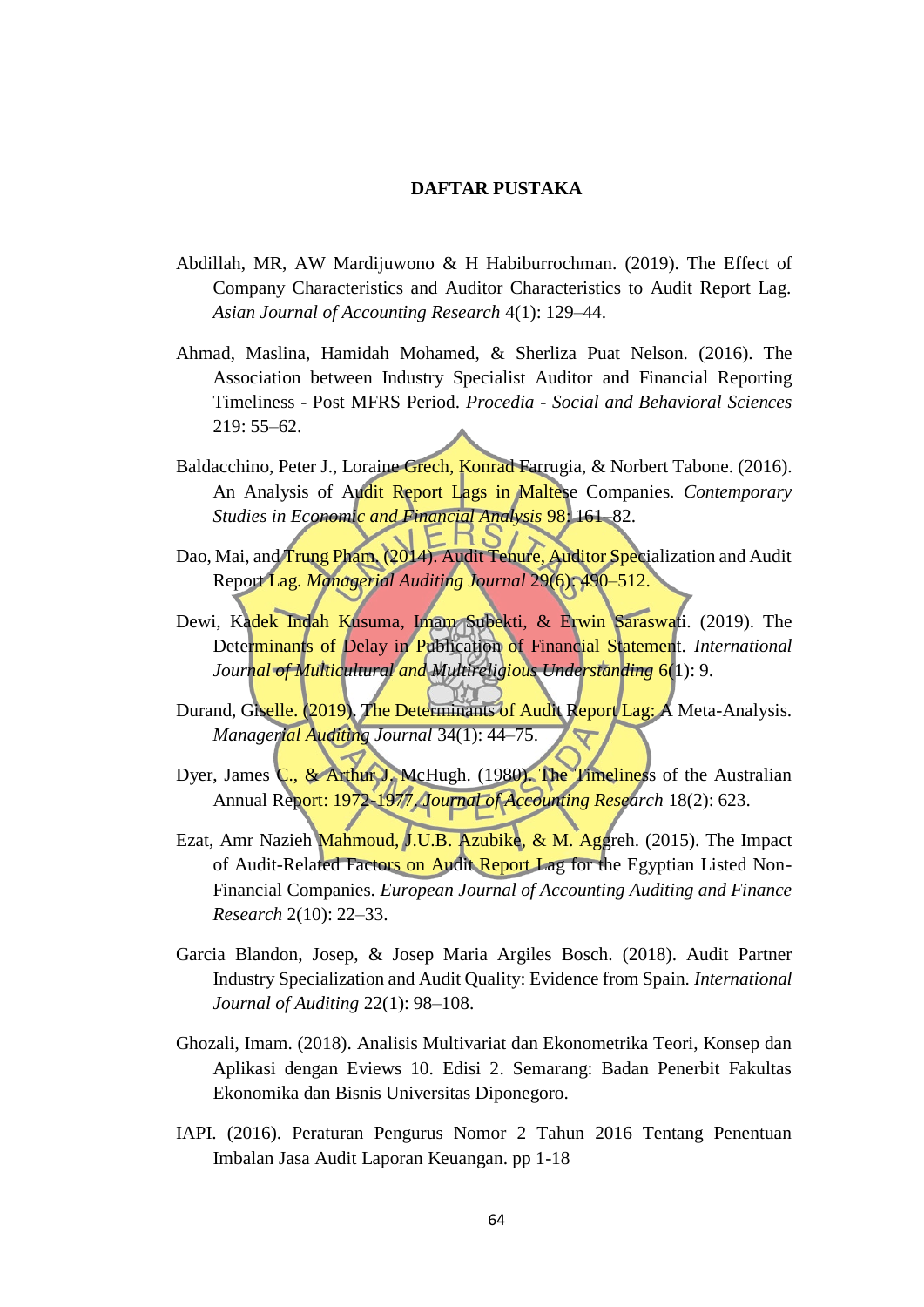## **DAFTAR PUSTAKA**

- Abdillah, MR, AW Mardijuwono & H Habiburrochman. (2019). The Effect of Company Characteristics and Auditor Characteristics to Audit Report Lag. *Asian Journal of Accounting Research* 4(1): 129–44.
- Ahmad, Maslina, Hamidah Mohamed, & Sherliza Puat Nelson. (2016). The Association between Industry Specialist Auditor and Financial Reporting Timeliness - Post MFRS Period. *Procedia - Social and Behavioral Sciences* 219: 55–62.
- Baldacchino, Peter J., Loraine Grech, Konrad Farrugia, & Norbert Tabone. (2016). An Analysis of Audit Report Lags in Maltese Companies. *Contemporary Studies in Economic and Financial Analysis* 98: 161–82.
- Dao, Mai, and Trung Pham. (2014). Audit Tenure, Auditor Specialization and Audit Report Lag. *Managerial Auditing Journal* 29(6): 490–512.
- Dewi, Kadek Indah Kusuma, Imam Subekti, & Erwin Saraswati. (2019). The Determinants of Delay in Publication of Financial Statement. *International Journal of Multicultural and Multireligious Understanding* 6(1): 9.
- Durand, Giselle. (2019). The Determinants of Audit Report Lag: A Meta-Analysis. *Managerial Auditing Journal* 34(1): 44–75.
- Dyer, James C., & Arthur J. McHugh. (1980). The Timeliness of the Australian Annual Report: 1972-1977. *Journal of Accounting Research* 18(2): 623.
- Ezat, Amr Nazieh Mahmoud, J.U.B. Azubike, & M. Aggreh. (2015). The Impact of Audit-Related Factors on Audit Report Lag for the Egyptian Listed Non-Financial Companies. *European Journal of Accounting Auditing and Finance Research* 2(10): 22–33.
- Garcia Blandon, Josep, & Josep Maria Argiles Bosch. (2018). Audit Partner Industry Specialization and Audit Quality: Evidence from Spain. *International Journal of Auditing* 22(1): 98–108.
- Ghozali, Imam. (2018). Analisis Multivariat dan Ekonometrika Teori, Konsep dan Aplikasi dengan Eviews 10. Edisi 2. Semarang: Badan Penerbit Fakultas Ekonomika dan Bisnis Universitas Diponegoro.
- IAPI. (2016). Peraturan Pengurus Nomor 2 Tahun 2016 Tentang Penentuan Imbalan Jasa Audit Laporan Keuangan. pp 1-18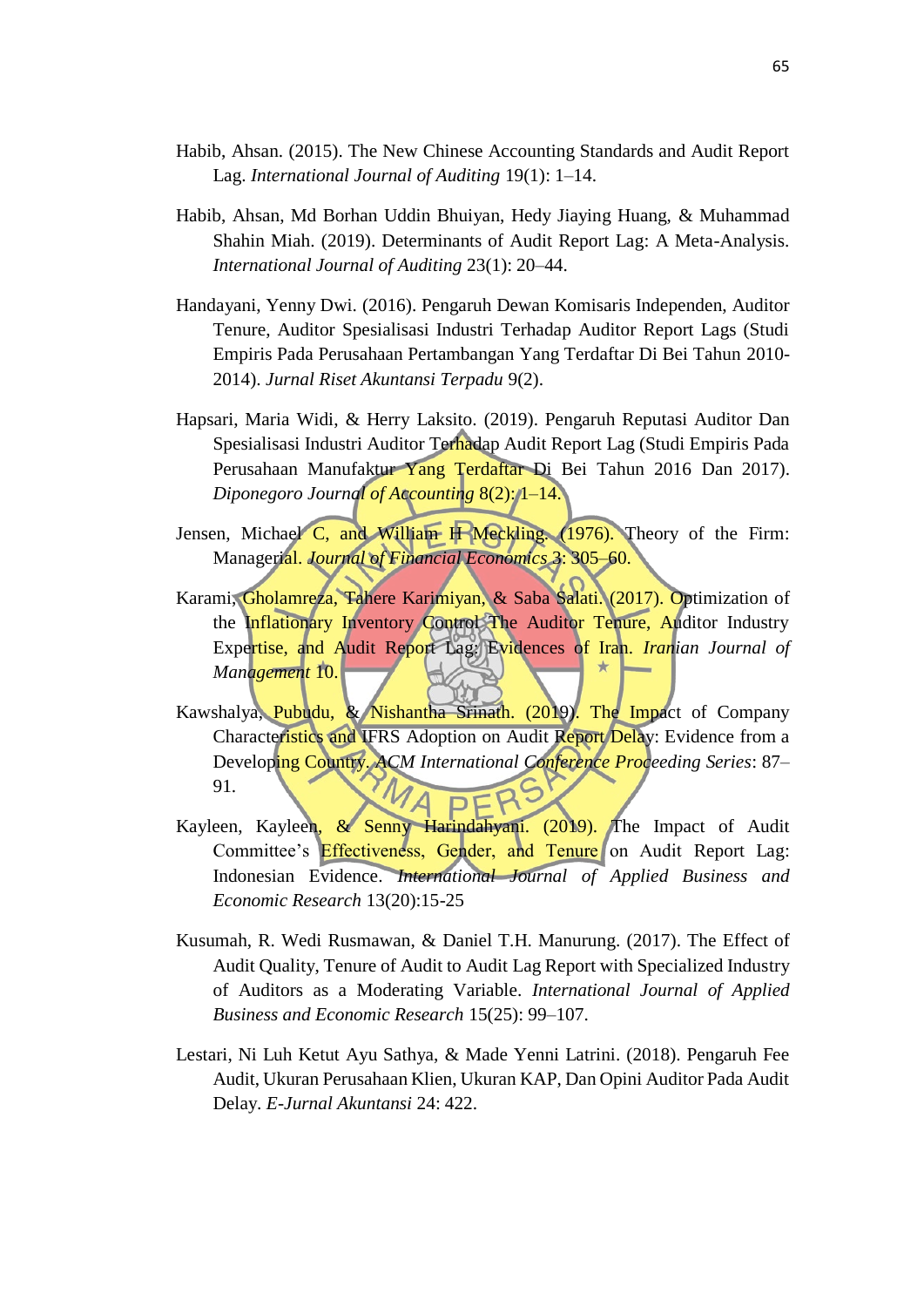- Habib, Ahsan. (2015). The New Chinese Accounting Standards and Audit Report Lag. *International Journal of Auditing* 19(1): 1–14.
- Habib, Ahsan, Md Borhan Uddin Bhuiyan, Hedy Jiaying Huang, & Muhammad Shahin Miah. (2019). Determinants of Audit Report Lag: A Meta-Analysis. *International Journal of Auditing* 23(1): 20–44.
- Handayani, Yenny Dwi. (2016). Pengaruh Dewan Komisaris Independen, Auditor Tenure, Auditor Spesialisasi Industri Terhadap Auditor Report Lags (Studi Empiris Pada Perusahaan Pertambangan Yang Terdaftar Di Bei Tahun 2010- 2014). *Jurnal Riset Akuntansi Terpadu* 9(2).
- Hapsari, Maria Widi, & Herry Laksito. (2019). Pengaruh Reputasi Auditor Dan Spesialisasi Industri Auditor Terhadap Audit Report Lag (Studi Empiris Pada Perusahaan Manufaktur Yang Terdaftar Di Bei Tahun 2016 Dan 2017). *Diponegoro Journal of Accounting* 8(2): 1–14.
- Jensen, Michael C, and William H Meckling. (1976). Theory of the Firm: Managerial. *Journal of Financial Economics* 3: 305–60.
- Karami, Gholamreza, Tahere Karimiyan, & Saba Salati. (2017). Optimization of the Inflationary Inventory Control The Auditor Tenure, Auditor Industry Expertise, and Audit Report Lag: Evidences of Iran. *Iranian Journal of Management* 10.
- Kawshalya, Pubudu, & Nishantha Srinath. (2019). The Impact of Company Characteristics and IFRS Adoption on Audit Report Delay: Evidence from a Developing Country. *ACM International Conference Proceeding Series*: 87– 91.
- Kayleen, Kayleen, & Senny Harindahyani. (2019). The Impact of Audit Committee's Effectiveness, Gender, and Tenure on Audit Report Lag: Indonesian Evidence. *International Journal of Applied Business and Economic Research* 13(20):15-25
- Kusumah, R. Wedi Rusmawan, & Daniel T.H. Manurung. (2017). The Effect of Audit Quality, Tenure of Audit to Audit Lag Report with Specialized Industry of Auditors as a Moderating Variable. *International Journal of Applied Business and Economic Research* 15(25): 99–107.
- Lestari, Ni Luh Ketut Ayu Sathya, & Made Yenni Latrini. (2018). Pengaruh Fee Audit, Ukuran Perusahaan Klien, Ukuran KAP, Dan Opini Auditor Pada Audit Delay. *E-Jurnal Akuntansi* 24: 422.